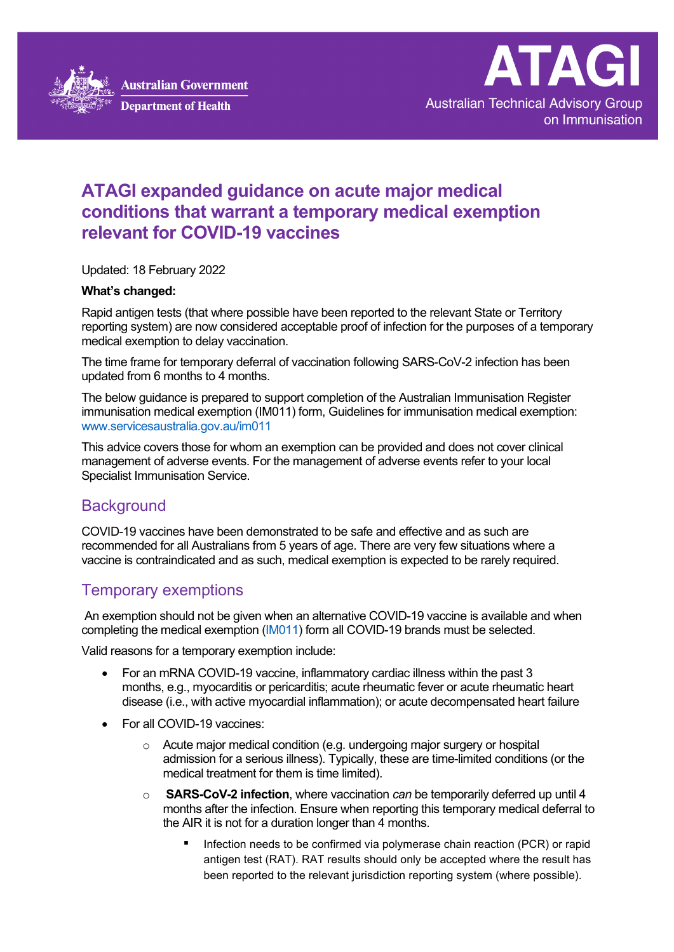



# **ATAGI expanded guidance on acute major medical conditions that warrant a temporary medical exemption relevant for COVID-19 vaccines**

Updated: 18 February 2022

#### **What's changed:**

Rapid antigen tests (that where possible have been reported to the relevant State or Territory reporting system) are now considered acceptable proof of infection for the purposes of a temporary medical exemption to delay vaccination.

The time frame for temporary deferral of vaccination following SARS-CoV-2 infection has been updated from 6 months to 4 months.

The below guidance is prepared to support completion of the Australian Immunisation Register immunisation medical exemption (IM011) form, Guidelines for immunisation medical exemption: www.servicesaustralia.gov.au/im011

This advice covers those for whom an exemption can be provided and does not cover clinical management of adverse events. For the management of adverse events refer to your local Specialist Immunisation Service.

## **Background**

COVID-19 vaccines have been demonstrated to be safe and effective and as such are recommended for all Australians from 5 years of age. There are very few situations where a vaccine is contraindicated and as such, medical exemption is expected to be rarely required.

### Temporary exemptions

An exemption should not be given when an alternative COVID-19 vaccine is available and when completing the medical exemption [\(IM011\)](https://www.servicesaustralia.gov.au/organisations/health-professionals/forms/im011) form all COVID-19 brands must be selected.

Valid reasons for a temporary exemption include:

- For an mRNA COVID-19 vaccine, inflammatory cardiac illness within the past 3 months, e.g., myocarditis or pericarditis; acute rheumatic fever or acute rheumatic heart disease (i.e., with active myocardial inflammation); or acute decompensated heart failure
- For all COVID-19 vaccines:
	- $\circ$  Acute major medical condition (e.g. undergoing major surgery or hospital admission for a serious illness). Typically, these are time-limited conditions (or the medical treatment for them is time limited).
	- o **SARS-CoV-2 infection**, where vaccination *can* be temporarily deferred up until 4 months after the infection. Ensure when reporting this temporary medical deferral to the AIR it is not for a duration longer than 4 months.
		- **Infection needs to be confirmed via polymerase chain reaction (PCR) or rapid** antigen test (RAT). RAT results should only be accepted where the result has been reported to the relevant jurisdiction reporting system (where possible).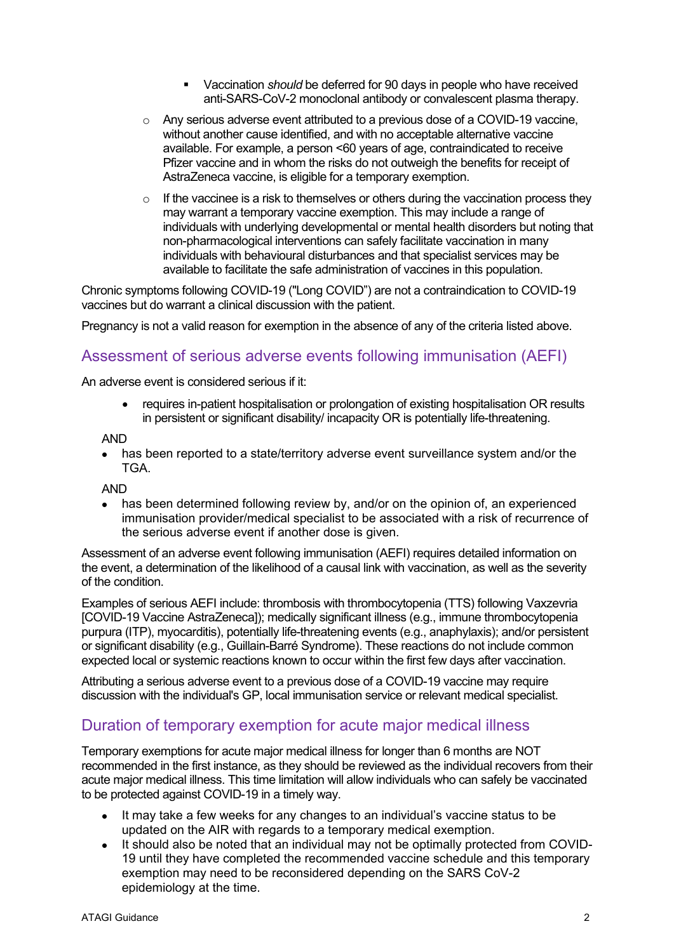- Vaccination *should* be deferred for 90 days in people who have received anti-SARS-CoV-2 monoclonal antibody or convalescent plasma therapy.
- $\circ$  Any serious adverse event attributed to a previous dose of a COVID-19 vaccine. without another cause identified, and with no acceptable alternative vaccine available. For example, a person <60 years of age, contraindicated to receive Pfizer vaccine and in whom the risks do not outweigh the benefits for receipt of AstraZeneca vaccine, is eligible for a temporary exemption.
- $\circ$  If the vaccinee is a risk to themselves or others during the vaccination process they may warrant a temporary vaccine exemption. This may include a range of individuals with underlying developmental or mental health disorders but noting that non-pharmacological interventions can safely facilitate vaccination in many individuals with behavioural disturbances and that specialist services may be available to facilitate the safe administration of vaccines in this population.

Chronic symptoms following COVID-19 ("Long COVID") are not a contraindication to COVID-19 vaccines but do warrant a clinical discussion with the patient.

Pregnancy is not a valid reason for exemption in the absence of any of the criteria listed above.

#### Assessment of serious adverse events following immunisation (AEFI)

An adverse event is considered serious if it:

• requires in-patient hospitalisation or prolongation of existing hospitalisation OR results in persistent or significant disability/ incapacity OR is potentially life-threatening.

AND

• has been reported to a state/territory adverse event surveillance system and/or the TGA.

AND

• has been determined following review by, and/or on the opinion of, an experienced immunisation provider/medical specialist to be associated with a risk of recurrence of the serious adverse event if another dose is given.

Assessment of an adverse event following immunisation (AEFI) requires detailed information on the event, a determination of the likelihood of a causal link with vaccination, as well as the severity of the condition.

Examples of serious AEFI include: thrombosis with thrombocytopenia (TTS) following Vaxzevria [COVID-19 Vaccine AstraZeneca]); medically significant illness (e.g., immune thrombocytopenia purpura (ITP), myocarditis), potentially life-threatening events (e.g., anaphylaxis); and/or persistent or significant disability (e.g., Guillain-Barré Syndrome). These reactions do not include common expected local or systemic reactions known to occur within the first few days after vaccination.

Attributing a serious adverse event to a previous dose of a COVID-19 vaccine may require discussion with the individual's GP, local immunisation service or relevant medical specialist.

### Duration of temporary exemption for acute major medical illness

Temporary exemptions for acute major medical illness for longer than 6 months are NOT recommended in the first instance, as they should be reviewed as the individual recovers from their acute major medical illness. This time limitation will allow individuals who can safely be vaccinated to be protected against COVID-19 in a timely way.

- It may take a few weeks for any changes to an individual's vaccine status to be updated on the AIR with regards to a temporary medical exemption.
- It should also be noted that an individual may not be optimally protected from COVID-19 until they have completed the recommended vaccine schedule and this temporary exemption may need to be reconsidered depending on the SARS CoV-2 epidemiology at the time.